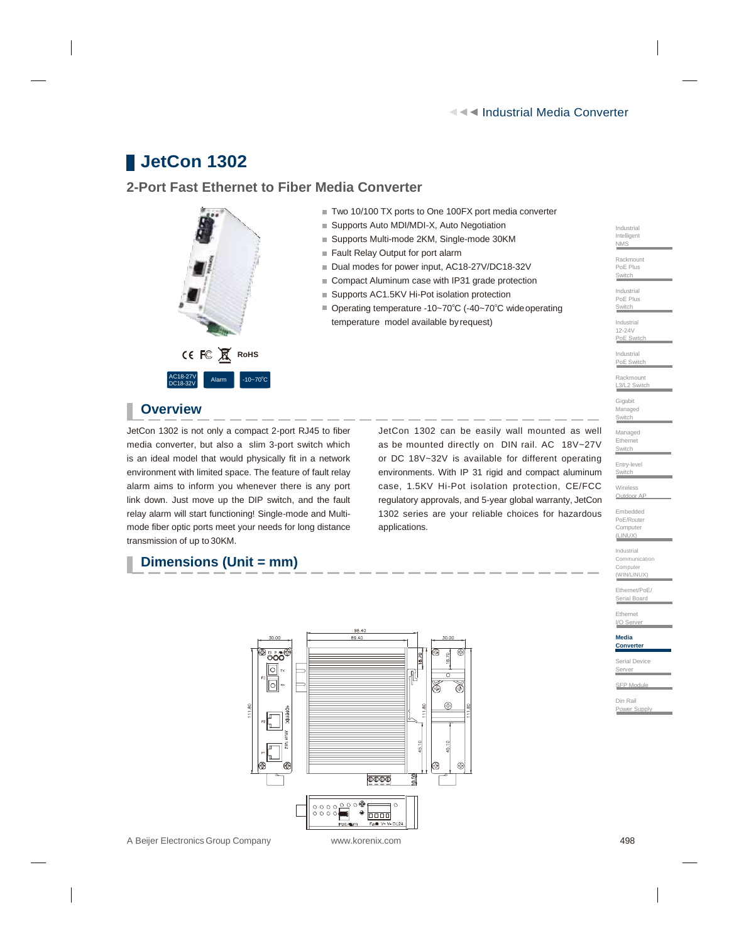Industrial Intelligent NMS Rackmount PoE Plus **Switch** Industrial PoE Plus **Switch** Industrial 12-24V PoE Switch Industrial PoE Switch Rackmount L<sub>3</sub>/L<sub>2</sub> Switch

Gigabit Managed **Switch** Managed Ethernet Switch Entry-level **Switch** Wireless Outdoor A Embedded PoE/Router Computer (LINUX) Industrial **Communication** Computer (WIN/LINUX) Ethernet/PoE/ Serial Board Ethernet I/O Serve **Media Converter** Serial Device Server SFP Modu Din Rail Power Supply

# **JetCon 1302**

## **2-Port Fast Ethernet to Fiber Media Converter**



- Two 10/100 TX ports to One 100FX port media converter
- Supports Auto MDI/MDI-X, Auto Negotiation
- Supports Multi-mode 2KM, Single-mode 30KM
- Fault Relay Output for port alarm
- Dual modes for power input, AC18-27V/DC18-32V
- Compact Aluminum case with IP31 grade protection
- Supports AC1.5KV Hi-Pot isolation protection
- Operating temperature -10~70°C (-40~70°C wide operating temperature model available byrequest)

## **Overview**

JetCon 1302 is not only a compact 2-port RJ45 to fiber media converter, but also a slim 3-port switch which is an ideal model that would physically fit in a network environment with limited space. The feature of fault relay alarm aims to inform you whenever there is any port link down. Just move up the DIP switch, and the fault relay alarm will start functioning! Single-mode and Multimode fiber optic ports meet your needs for long distance transmission of up to 30KM.

JetCon 1302 can be easily wall mounted as well as be mounted directly on DIN rail. AC 18V~27V or DC 18V~32V is available for different operating environments. With IP 31 rigid and compact aluminum case, 1.5KV Hi-Pot isolation protection, CE/FCC regulatory approvals, and 5-year global warranty, JetCon 1302 series are your reliable choices for hazardous applications.

## **Dimensions (Unit = mm)**



A Beijer ElectronicsGroup Company [www.korenix.com](http://www.korenix.com/) 498